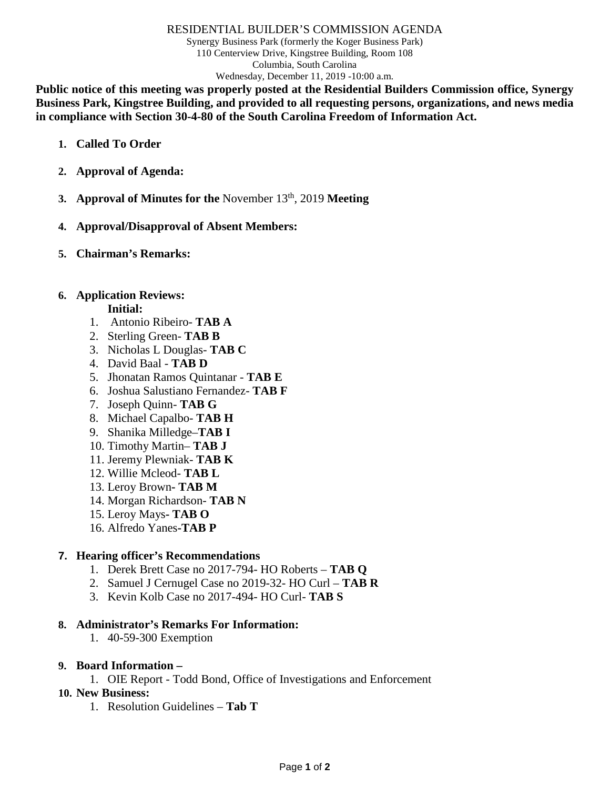#### RESIDENTIAL BUILDER'S COMMISSION AGENDA

Synergy Business Park (formerly the Koger Business Park) 110 Centerview Drive, Kingstree Building, Room 108 Columbia, South Carolina Wednesday, December 11, 2019 -10:00 a.m.

**Public notice of this meeting was properly posted at the Residential Builders Commission office, Synergy Business Park, Kingstree Building, and provided to all requesting persons, organizations, and news media in compliance with Section 30-4-80 of the South Carolina Freedom of Information Act.**

- **1. Called To Order**
- **2. Approval of Agenda:**
- **3. Approval of Minutes for the** November 13th, 2019 **Meeting**
- **4. Approval/Disapproval of Absent Members:**
- **5. Chairman's Remarks:**

### **6. Application Reviews:**

#### **Initial:**

- 1. Antonio Ribeiro- **TAB A**
- 2. Sterling Green- **TAB B**
- 3. Nicholas L Douglas- **TAB C**
- 4. David Baal **TAB D**
- 5. Jhonatan Ramos Quintanar **TAB E**
- 6. Joshua Salustiano Fernandez- **TAB F**
- 7. Joseph Quinn- **TAB G**
- 8. Michael Capalbo- **TAB H**
- 9. Shanika Milledge–**TAB I**
- 10. Timothy Martin– **TAB J**
- 11. Jeremy Plewniak- **TAB K**
- 12. Willie Mcleod- **TAB L**
- 13. Leroy Brown**- TAB M**
- 14. Morgan Richardson- **TAB N**
- 15. Leroy Mays**- TAB O**
- 16. Alfredo Yanes**-TAB P**

### **7. Hearing officer's Recommendations**

- 1. Derek Brett Case no 2017-794- HO Roberts **TAB Q**
- 2. Samuel J Cernugel Case no 2019-32- HO Curl **TAB R**
- 3. Kevin Kolb Case no 2017-494- HO Curl- **TAB S**

### **8. Administrator's Remarks For Information:**

- 1. 40-59-300 Exemption
- **9. Board Information –**
	- 1. OIE Report Todd Bond, Office of Investigations and Enforcement
- **10. New Business:**
	- 1. Resolution Guidelines **Tab T**